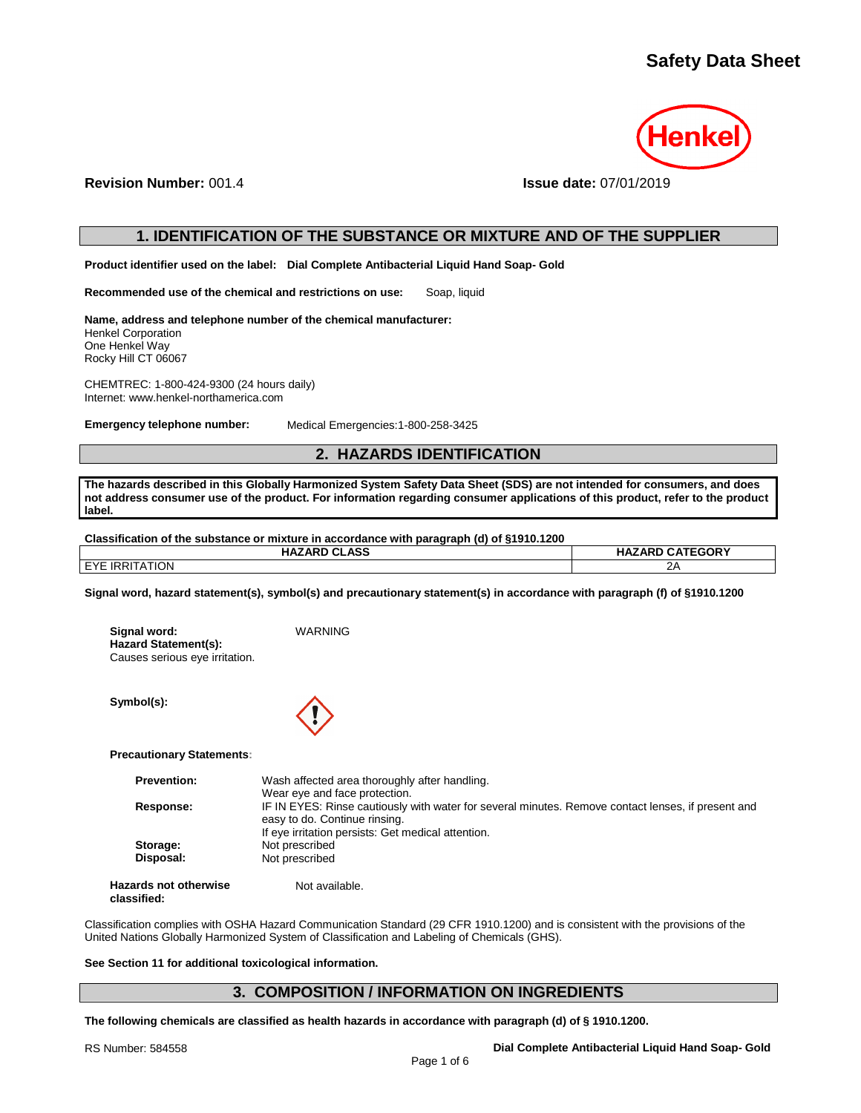

**Revision Number:** 001.4 **Issue date:** 07/01/2019

# **1. IDENTIFICATION OF THE SUBSTANCE OR MIXTURE AND OF THE SUPPLIER**

**Product identifier used on the label: Dial Complete Antibacterial Liquid Hand Soap- Gold**

**Recommended use of the chemical and restrictions on use:** Soap, liquid

**Name, address and telephone number of the chemical manufacturer:** Henkel Corporation One Henkel Way Rocky Hill CT 06067

CHEMTREC: 1-800-424-9300 (24 hours daily) Internet: www.henkel-northamerica.com

**Emergency telephone number:** Medical Emergencies:1-800-258-3425

# **2. HAZARDS IDENTIFICATION**

**The hazards described in this Globally Harmonized System Safety Data Sheet (SDS) are not intended for consumers, and does not address consumer use of the product. For information regarding consumer applications of this product, refer to the product label.**

**Classification of the substance or mixture in accordance with paragraph (d) of §1910.1200**

| <b>HAZARD CLASS</b>   | <b>HAZARD CATEGORY</b> |
|-----------------------|------------------------|
| <b>EYE IRRITATION</b> | 2Α                     |

**Signal word, hazard statement(s), symbol(s) and precautionary statement(s) in accordance with paragraph (f) of §1910.1200**

| Signal word:                   | WARNING |
|--------------------------------|---------|
| Hazard Statement(s):           |         |
| Causes serious eye irritation. |         |

**Symbol(s):**



**Precautionary Statements:**

| <b>Prevention:</b> | Wash affected area thoroughly after handling.                                                                                       |
|--------------------|-------------------------------------------------------------------------------------------------------------------------------------|
|                    | Wear eye and face protection.                                                                                                       |
| Response:          | IF IN EYES: Rinse cautiously with water for several minutes. Remove contact lenses, if present and<br>easy to do. Continue rinsing. |
|                    | If eye irritation persists: Get medical attention.                                                                                  |
| Storage:           | Not prescribed                                                                                                                      |
| Disposal:          | Not prescribed                                                                                                                      |
| ards not otherwise | Not available.                                                                                                                      |

**Hazards not otherwise classified:**

Classification complies with OSHA Hazard Communication Standard (29 CFR 1910.1200) and is consistent with the provisions of the United Nations Globally Harmonized System of Classification and Labeling of Chemicals (GHS).

## **See Section 11 for additional toxicological information.**

# **3. COMPOSITION / INFORMATION ON INGREDIENTS**

**The following chemicals are classified as health hazards in accordance with paragraph (d) of § 1910.1200.**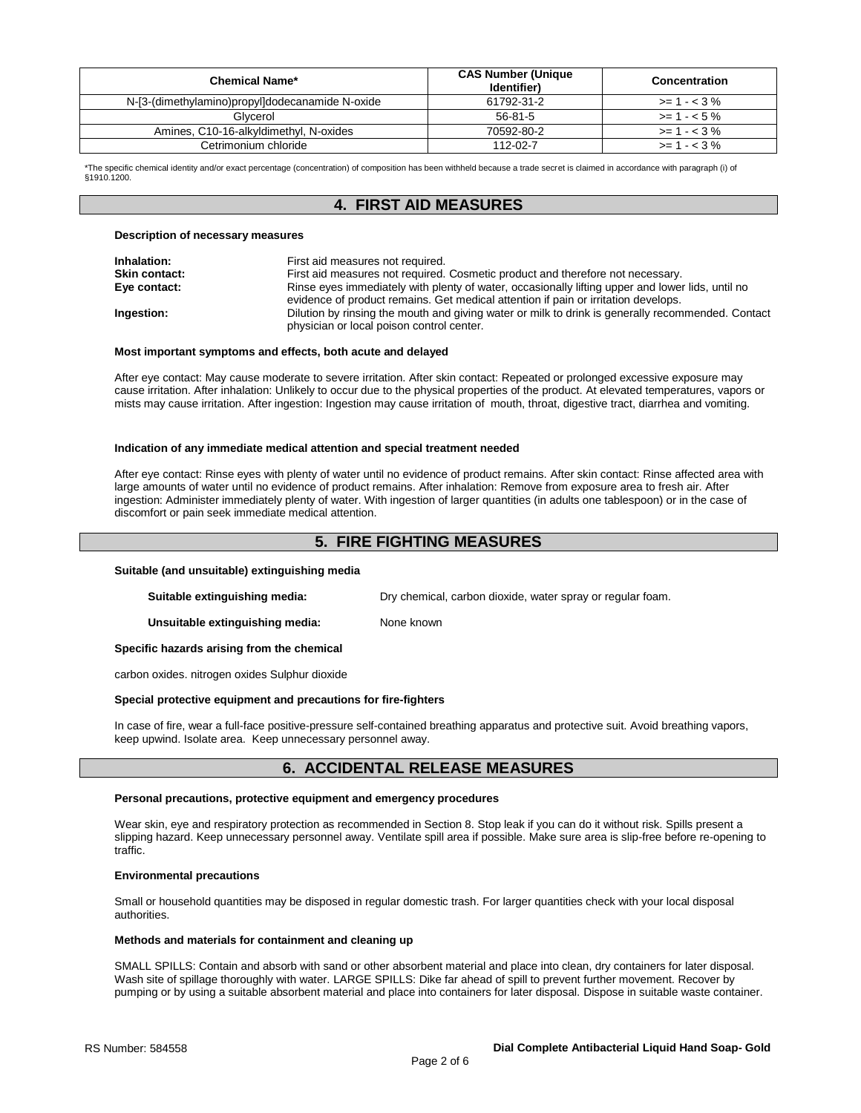| Chemical Name*                                  | <b>CAS Number (Unique</b><br>Identifier) | Concentration |
|-------------------------------------------------|------------------------------------------|---------------|
| N-[3-(dimethylamino)propyl]dodecanamide N-oxide | 61792-31-2                               | $>= 1 - 3\%$  |
| Glvcerol                                        | 56-81-5                                  | $>= 1 - 5\%$  |
| Amines, C10-16-alkyldimethyl, N-oxides          | 70592-80-2                               | $>= 1 - 3\%$  |
| Cetrimonium chloride                            | $112 - 02 - 7$                           | $>= 1 - 3\%$  |

\*The specific chemical identity and/or exact percentage (concentration) of composition has been withheld because a trade secret is claimed in accordance with paragraph (i) of §1910.1200.

# **4. FIRST AID MEASURES**

#### **Description of necessary measures**

| Inhalation:          | First aid measures not required.                                                                                                                                                       |
|----------------------|----------------------------------------------------------------------------------------------------------------------------------------------------------------------------------------|
| <b>Skin contact:</b> | First aid measures not required. Cosmetic product and therefore not necessary.                                                                                                         |
| Eye contact:         | Rinse eyes immediately with plenty of water, occasionally lifting upper and lower lids, until no<br>evidence of product remains. Get medical attention if pain or irritation develops. |
| Ingestion:           | Dilution by rinsing the mouth and giving water or milk to drink is generally recommended. Contact<br>physician or local poison control center.                                         |

## **Most important symptoms and effects, both acute and delayed**

After eye contact: May cause moderate to severe irritation. After skin contact: Repeated or prolonged excessive exposure may cause irritation. After inhalation: Unlikely to occur due to the physical properties of the product. At elevated temperatures, vapors or mists may cause irritation. After ingestion: Ingestion may cause irritation of mouth, throat, digestive tract, diarrhea and vomiting.

#### **Indication of any immediate medical attention and special treatment needed**

After eye contact: Rinse eyes with plenty of water until no evidence of product remains. After skin contact: Rinse affected area with large amounts of water until no evidence of product remains. After inhalation: Remove from exposure area to fresh air. After ingestion: Administer immediately plenty of water. With ingestion of larger quantities (in adults one tablespoon) or in the case of discomfort or pain seek immediate medical attention.

# **5. FIRE FIGHTING MEASURES**

#### **Suitable (and unsuitable) extinguishing media**

**Suitable extinguishing media:** Dry chemical, carbon dioxide, water spray or regular foam.

**Unsuitable extinguishing media:** None known

#### **Specific hazards arising from the chemical**

carbon oxides. nitrogen oxides Sulphur dioxide

## **Special protective equipment and precautions for fire-fighters**

In case of fire, wear a full-face positive-pressure self-contained breathing apparatus and protective suit. Avoid breathing vapors, keep upwind. Isolate area. Keep unnecessary personnel away.

# **6. ACCIDENTAL RELEASE MEASURES**

## **Personal precautions, protective equipment and emergency procedures**

Wear skin, eye and respiratory protection as recommended in Section 8. Stop leak if you can do it without risk. Spills present a slipping hazard. Keep unnecessary personnel away. Ventilate spill area if possible. Make sure area is slip-free before re-opening to traffic.

## **Environmental precautions**

Small or household quantities may be disposed in regular domestic trash. For larger quantities check with your local disposal authorities.

## **Methods and materials for containment and cleaning up**

SMALL SPILLS: Contain and absorb with sand or other absorbent material and place into clean, dry containers for later disposal. Wash site of spillage thoroughly with water. LARGE SPILLS: Dike far ahead of spill to prevent further movement. Recover by pumping or by using a suitable absorbent material and place into containers for later disposal. Dispose in suitable waste container.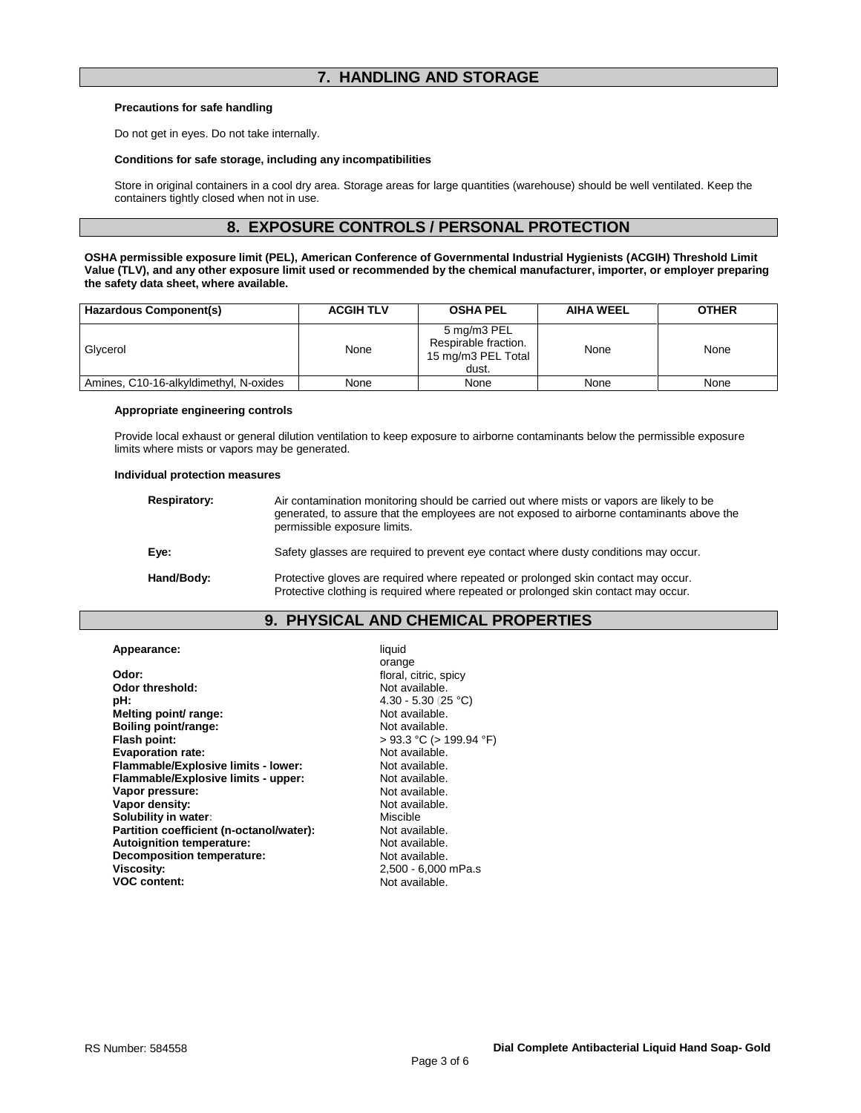# **7. HANDLING AND STORAGE**

## **Precautions for safe handling**

Do not get in eyes. Do not take internally.

## **Conditions for safe storage, including any incompatibilities**

Store in original containers in a cool dry area. Storage areas for large quantities (warehouse) should be well ventilated. Keep the containers tightly closed when not in use.

# **8. EXPOSURE CONTROLS / PERSONAL PROTECTION**

**OSHA permissible exposure limit (PEL), American Conference of Governmental Industrial Hygienists (ACGIH) Threshold Limit Value (TLV), and any other exposure limit used or recommended by the chemical manufacturer, importer, or employer preparing the safety data sheet, where available.**

| Hazardous Component(s)                 | <b>ACGIH TLV</b> | <b>OSHA PEL</b>                                                    | <b>AIHA WEEL</b> | <b>OTHER</b> |
|----------------------------------------|------------------|--------------------------------------------------------------------|------------------|--------------|
| Glycerol                               | None             | 5 mg/m3 PEL<br>Respirable fraction.<br>15 mg/m3 PEL Total<br>dust. | None             | None         |
| Amines, C10-16-alkyldimethyl, N-oxides | None             | None                                                               | None             | None         |

## **Appropriate engineering controls**

Provide local exhaust or general dilution ventilation to keep exposure to airborne contaminants below the permissible exposure limits where mists or vapors may be generated.

## **Individual protection measures**

| <b>Respiratory:</b> | Air contamination monitoring should be carried out where mists or vapors are likely to be<br>generated, to assure that the employees are not exposed to airborne contaminants above the<br>permissible exposure limits. |
|---------------------|-------------------------------------------------------------------------------------------------------------------------------------------------------------------------------------------------------------------------|
| Eye:                | Safety glasses are required to prevent eye contact where dusty conditions may occur.                                                                                                                                    |
| Hand/Body:          | Protective gloves are required where repeated or prolonged skin contact may occur.<br>Protective clothing is required where repeated or prolonged skin contact may occur.                                               |

# **9. PHYSICAL AND CHEMICAL PROPERTIES**

**Appearance:** liquid **Odor: Conserversity Conserversity Conserversity Conserversity Conserversity Conserversity Conserversity Conserversity Conserversity Conserversity Conserversity Conserversity Conserversity Conse** Odor threshold:<br>pH: **Melting point/ range:** Not available.<br> **Boiling point/range:** Not available. **Boiling point/range:**<br>Flash point: **Evaporation rate:**<br> **Flammable/Explosive limits - lower:** Not available. **Flammable/Explosive limits - lower:** Not available.<br> **Flammable/Explosive limits - upper:** Not available. **Flammable/Explosive limits - upper:** Not available.<br> **Vapor pressure:** Not available. **Vapor pressure: Vapor density:**  $\blacksquare$  Not available.<br> **Solubility in water:**  $\blacksquare$  Niscible Miscible **Solubility in water: Niscription Wiscom Miscible**<br> **Partition coefficient (n-octanol/water):** Not available. **Partition coefficient (n-octanol/water):** Not available.<br> **Autoignition temperature:** Not available. **Autoignition temperature: Decomposition temperature:** Not available.<br>
Viscosity: 2.500 - 6.000 **VOC content:** 

orange **pH:** 4.30 - 5.30 (25 °C) > 93.3 °C (> 199.94 °F)<br>Not available. 2,500 - 6,000 mPa.s<br>Not available.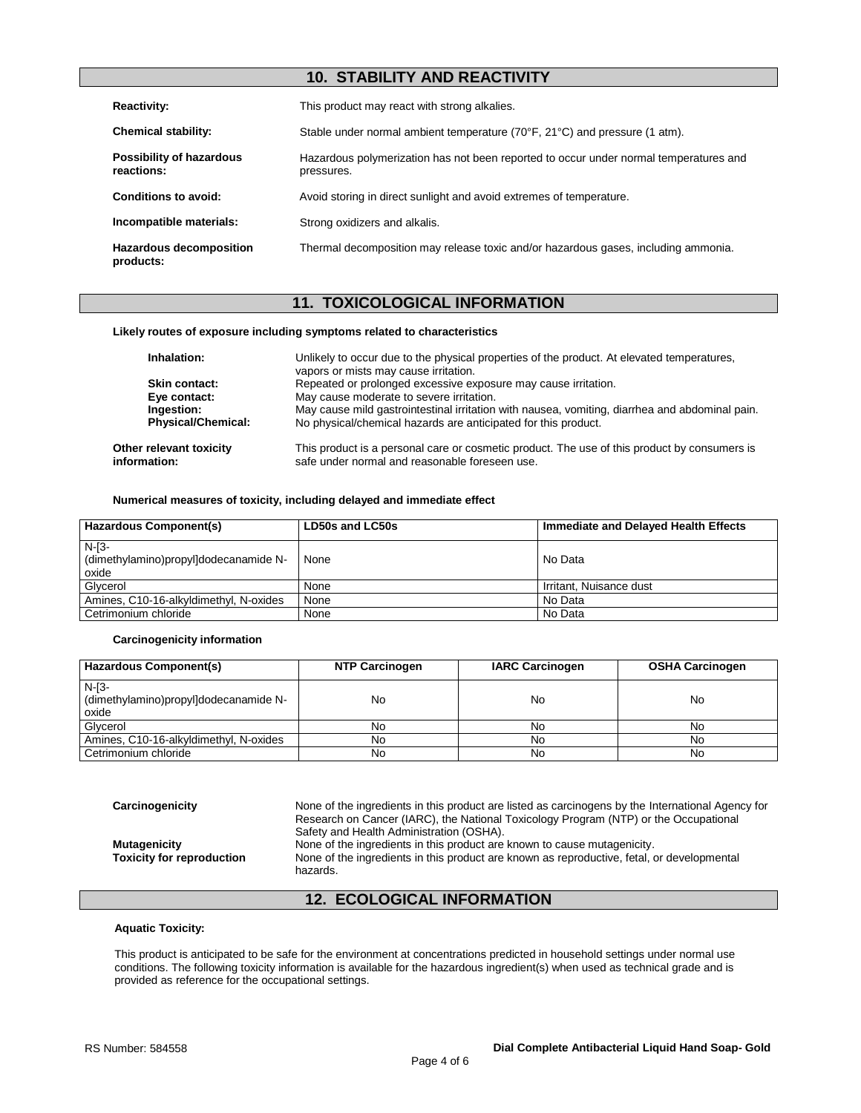# **10. STABILITY AND REACTIVITY**

| <b>Reactivity:</b>                          | This product may react with strong alkalies.                                                        |  |  |
|---------------------------------------------|-----------------------------------------------------------------------------------------------------|--|--|
| <b>Chemical stability:</b>                  | Stable under normal ambient temperature (70°F, 21°C) and pressure (1 atm).                          |  |  |
| Possibility of hazardous<br>reactions:      | Hazardous polymerization has not been reported to occur under normal temperatures and<br>pressures. |  |  |
| <b>Conditions to avoid:</b>                 | Avoid storing in direct sunlight and avoid extremes of temperature.                                 |  |  |
| Incompatible materials:                     | Strong oxidizers and alkalis.                                                                       |  |  |
| <b>Hazardous decomposition</b><br>products: | Thermal decomposition may release toxic and/or hazardous gases, including ammonia.                  |  |  |

# **11. TOXICOLOGICAL INFORMATION**

## **Likely routes of exposure including symptoms related to characteristics**

| Inhalation:                             | Unlikely to occur due to the physical properties of the product. At elevated temperatures,<br>vapors or mists may cause irritation.            |
|-----------------------------------------|------------------------------------------------------------------------------------------------------------------------------------------------|
| Skin contact:                           | Repeated or prolonged excessive exposure may cause irritation.                                                                                 |
| Eye contact:                            | May cause moderate to severe irritation.                                                                                                       |
| Ingestion:                              | May cause mild gastrointestinal irritation with nausea, vomiting, diarrhea and abdominal pain.                                                 |
| <b>Physical/Chemical:</b>               | No physical/chemical hazards are anticipated for this product.                                                                                 |
| Other relevant toxicity<br>information: | This product is a personal care or cosmetic product. The use of this product by consumers is<br>safe under normal and reasonable foreseen use. |

## **Numerical measures of toxicity, including delayed and immediate effect**

| <b>Hazardous Component(s)</b>                             | LD50s and LC50s | Immediate and Delayed Health Effects |
|-----------------------------------------------------------|-----------------|--------------------------------------|
| $N-I3-$<br>(dimethylamino)propyl]dodecanamide N-<br>oxide | None            | No Data                              |
| Glycerol                                                  | None            | Irritant, Nuisance dust              |
| Amines, C10-16-alkyldimethyl, N-oxides                    | None            | No Data                              |
| Cetrimonium chloride                                      | None            | No Data                              |

## **Carcinogenicity information**

| Hazardous Component(s)                                    | <b>NTP Carcinogen</b> | <b>IARC Carcinogen</b> | <b>OSHA Carcinogen</b> |
|-----------------------------------------------------------|-----------------------|------------------------|------------------------|
| $N-I3-$<br>(dimethylamino)propyl]dodecanamide N-<br>oxide | No                    | No                     | No                     |
| Glycerol                                                  | No                    | No                     | No                     |
| Amines, C10-16-alkyldimethyl, N-oxides                    | No                    | No                     | No                     |
| Cetrimonium chloride                                      | No                    | No                     | No                     |

**Carcinogenicity** None of the ingredients in this product are listed as carcinogens by the International Agency for Research on Cancer (IARC), the National Toxicology Program (NTP) or the Occupational Safety and Health Administration (OSHA). **Mutagenicity**<br>**Toxicity for reproduction** Mone of the ingredients in this product are known as reproductive, fetal, one of the ingredients in this product are known as reproductive, fetal, one None of the ingredients in this product are known as reproductive, fetal, or developmental hazards.

# **12. ECOLOGICAL INFORMATION**

## **Aquatic Toxicity:**

This product is anticipated to be safe for the environment at concentrations predicted in household settings under normal use conditions. The following toxicity information is available for the hazardous ingredient(s) when used as technical grade and is provided as reference for the occupational settings.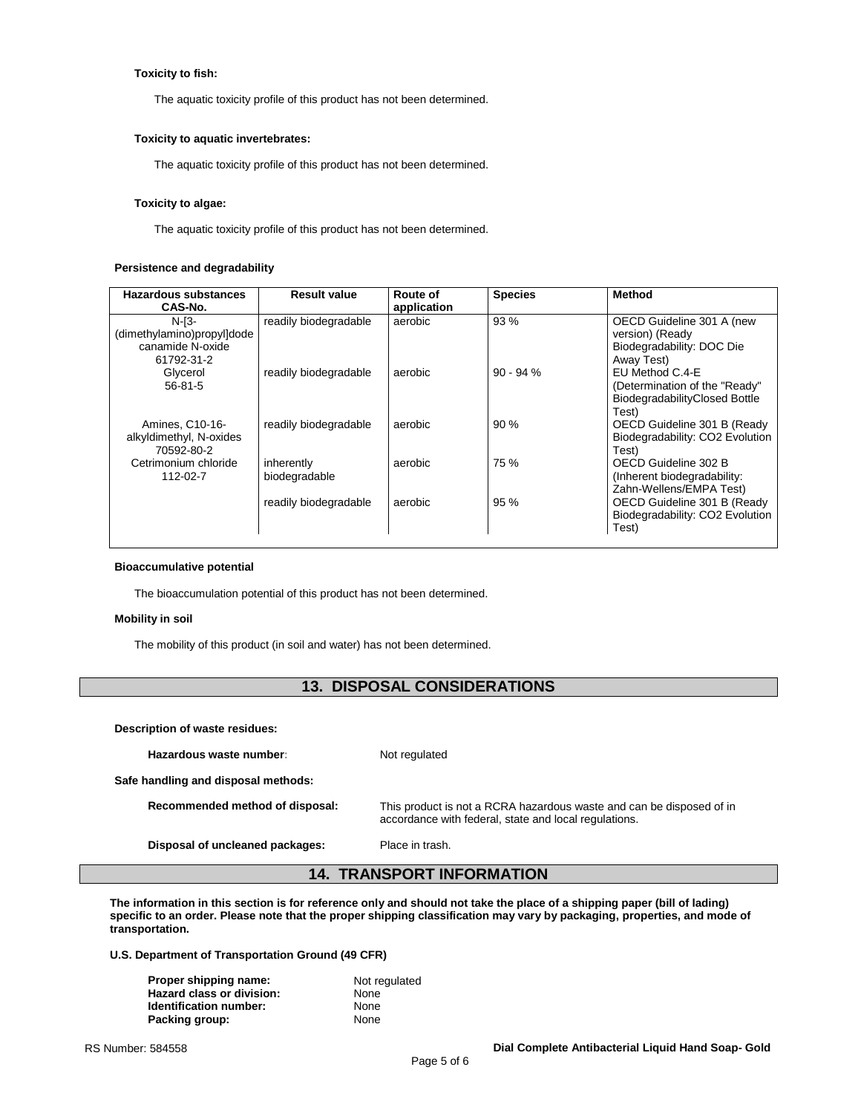## **Toxicity to fish:**

The aquatic toxicity profile of this product has not been determined.

## **Toxicity to aquatic invertebrates:**

The aquatic toxicity profile of this product has not been determined.

## **Toxicity to algae:**

The aquatic toxicity profile of this product has not been determined.

## **Persistence and degradability**

| <b>Hazardous substances</b> | <b>Result value</b>   | Route of    | <b>Species</b> | <b>Method</b>                   |
|-----------------------------|-----------------------|-------------|----------------|---------------------------------|
| CAS-No.                     |                       | application |                |                                 |
| $N-I3-$                     | readily biodegradable | aerobic     | 93 %           | OECD Guideline 301 A (new       |
| (dimethylamino)propyl]dode  |                       |             |                | version) (Ready                 |
| canamide N-oxide            |                       |             |                | Biodegradability: DOC Die       |
| 61792-31-2                  |                       |             |                | Away Test)                      |
| Glycerol                    | readily biodegradable | aerobic     | $90 - 94%$     | EU Method C.4-E                 |
| $56 - 81 - 5$               |                       |             |                | (Determination of the "Ready"   |
|                             |                       |             |                | BiodegradabilityClosed Bottle   |
|                             |                       |             |                | Test)                           |
| Amines, C10-16-             | readily biodegradable | aerobic     | 90%            | OECD Guideline 301 B (Ready     |
| alkyldimethyl, N-oxides     |                       |             |                | Biodegradability: CO2 Evolution |
| 70592-80-2                  |                       |             |                | Test)                           |
| Cetrimonium chloride        | inherently            | aerobic     | 75 %           | OECD Guideline 302 B            |
| 112-02-7                    | biodegradable         |             |                | (Inherent biodegradability:     |
|                             |                       |             |                | Zahn-Wellens/EMPA Test)         |
|                             | readily biodegradable | aerobic     | 95%            | OECD Guideline 301 B (Ready     |
|                             |                       |             |                | Biodegradability: CO2 Evolution |
|                             |                       |             |                | Test)                           |

## **Bioaccumulative potential**

The bioaccumulation potential of this product has not been determined.

## **Mobility in soil**

The mobility of this product (in soil and water) has not been determined.

# **13. DISPOSAL CONSIDERATIONS**

**Description of waste residues:**

Hazardous waste number: Not regulated

**Safe handling and disposal methods:**

**Recommended method of disposal:** This product is not a RCRA hazardous waste and can be disposed of in accordance with federal, state and local regulations.

**Disposal of uncleaned packages:** Place in trash.

# **14. TRANSPORT INFORMATION**

**The information in this section is for reference only and should not take the place of a shipping paper (bill of lading) specific to an order. Please note that the proper shipping classification may vary by packaging, properties, and mode of transportation.**

**U.S. Department of Transportation Ground (49 CFR)**

| Proper shipping name:            | Not regulated |
|----------------------------------|---------------|
| <b>Hazard class or division:</b> | None          |
| Identification number:           | None          |
| Packing group:                   | None          |